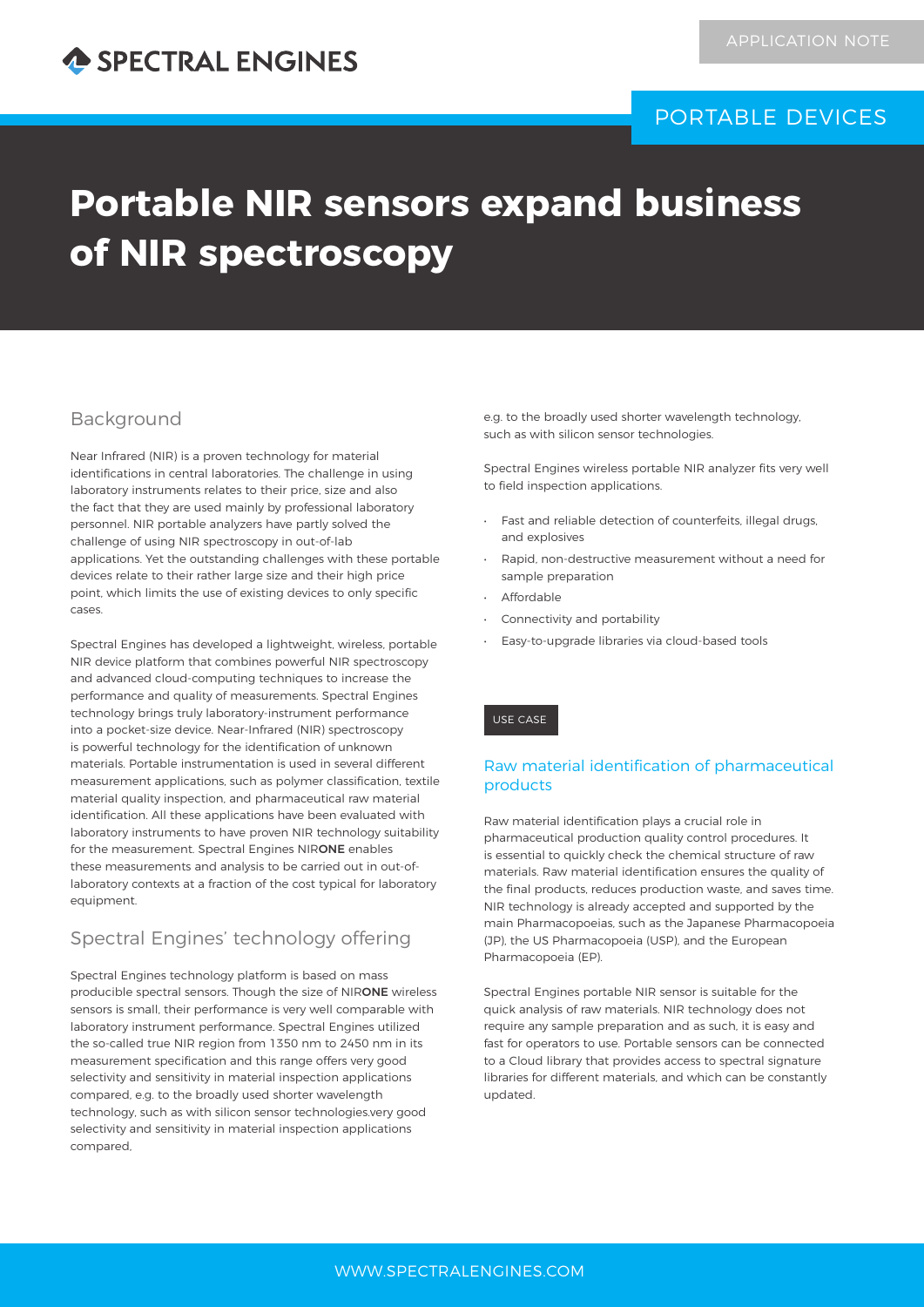

### PORTABLE DEVICES

# **Portable NIR sensors expand business of NIR spectroscopy**

#### Background

Near Infrared (NIR) is a proven technology for material identifications in central laboratories. The challenge in using laboratory instruments relates to their price, size and also the fact that they are used mainly by professional laboratory personnel. NIR portable analyzers have partly solved the challenge of using NIR spectroscopy in out-of-lab applications. Yet the outstanding challenges with these portable devices relate to their rather large size and their high price point, which limits the use of existing devices to only specific cases.

Spectral Engines has developed a lightweight, wireless, portable NIR device platform that combines powerful NIR spectroscopy and advanced cloud-computing techniques to increase the performance and quality of measurements. Spectral Engines technology brings truly laboratory-instrument performance into a pocket-size device. Near-Infrared (NIR) spectroscopy is powerful technology for the identification of unknown materials. Portable instrumentation is used in several different measurement applications, such as polymer classification, textile material quality inspection, and pharmaceutical raw material identification. All these applications have been evaluated with laboratory instruments to have proven NIR technology suitability for the measurement. Spectral Engines NIRONE enables these measurements and analysis to be carried out in out-oflaboratory contexts at a fraction of the cost typical for laboratory equipment.

#### Spectral Engines' technology offering

Spectral Engines technology platform is based on mass producible spectral sensors. Though the size of NIRONE wireless sensors is small, their performance is very well comparable with laboratory instrument performance. Spectral Engines utilized the so-called true NIR region from 1350 nm to 2450 nm in its measurement specification and this range offers very good selectivity and sensitivity in material inspection applications compared, e.g. to the broadly used shorter wavelength technology, such as with silicon sensor technologies.very good selectivity and sensitivity in material inspection applications compared,

e.g. to the broadly used shorter wavelength technology, such as with silicon sensor technologies.

Spectral Engines wireless portable NIR analyzer fits very well to field inspection applications.

- Fast and reliable detection of counterfeits, illegal drugs, and explosives
- Rapid, non-destructive measurement without a need for sample preparation
- Affordable
- Connectivity and portability
- Easy-to-upgrade libraries via cloud-based tools

#### USE CASE

#### Raw material identification of pharmaceutical products

Raw material identification plays a crucial role in pharmaceutical production quality control procedures. It is essential to quickly check the chemical structure of raw materials. Raw material identification ensures the quality of the final products, reduces production waste, and saves time. NIR technology is already accepted and supported by the main Pharmacopoeias, such as the Japanese Pharmacopoeia (JP), the US Pharmacopoeia (USP), and the European Pharmacopoeia (EP).

Spectral Engines portable NIR sensor is suitable for the quick analysis of raw materials. NIR technology does not require any sample preparation and as such, it is easy and fast for operators to use. Portable sensors can be connected to a Cloud library that provides access to spectral signature libraries for different materials, and which can be constantly updated.